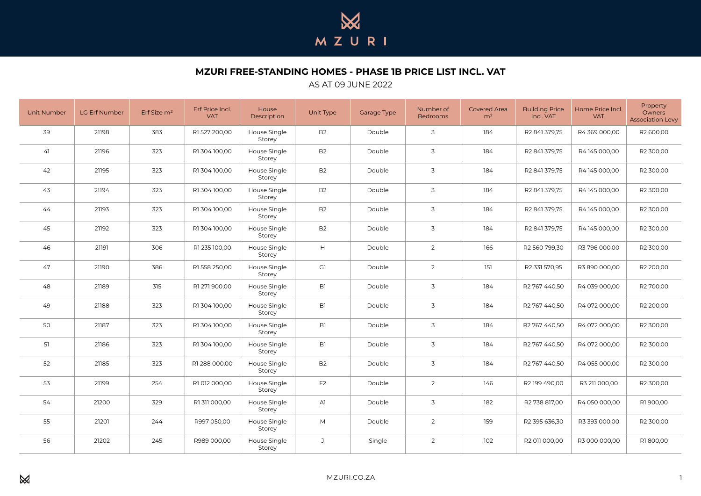

**MZURI FREE-STANDING HOMES - PHASE 1B PRICE LIST INCL. VAT**

## AS AT 09 JUNE 2022

| <b>Unit Number</b> | LG Erf Number | Erf Size m <sup>2</sup> | Erf Price Incl.<br><b>VAT</b> | House<br>Description   | Unit Type      | Garage Type | Number of<br><b>Bedrooms</b> | <b>Covered Area</b><br>m <sup>2</sup> | <b>Building Price</b><br>Incl. VAT | Home Price Incl.<br><b>VAT</b> | Property<br>Owners<br><b>Association Levy</b> |
|--------------------|---------------|-------------------------|-------------------------------|------------------------|----------------|-------------|------------------------------|---------------------------------------|------------------------------------|--------------------------------|-----------------------------------------------|
| 39                 | 21198         | 383                     | R1527 200,00                  | House Single<br>Storey | B <sub>2</sub> | Double      | 3                            | 184                                   | R2 841 379,75                      | R4 369 000,00                  | R2 600,00                                     |
| 41                 | 21196         | 323                     | R1304100,00                   | House Single<br>Storey | B <sub>2</sub> | Double      | 3                            | 184                                   | R2 841 379,75                      | R4 145 000,00                  | R2 300,00                                     |
| 42                 | 21195         | 323                     | R1304100,00                   | House Single<br>Storey | B <sub>2</sub> | Double      | 3                            | 184                                   | R2 841 379,75                      | R4145000,00                    | R2 300,00                                     |
| 43                 | 21194         | 323                     | R1 304 100,00                 | House Single<br>Storey | B <sub>2</sub> | Double      | 3                            | 184                                   | R2 841 379,75                      | R4145000,00                    | R2 300,00                                     |
| 44                 | 21193         | 323                     | R1304100,00                   | House Single<br>Storey | B <sub>2</sub> | Double      | 3                            | 184                                   | R2 841 379,75                      | R4145000,00                    | R2 300,00                                     |
| 45                 | 21192         | 323                     | R1304100,00                   | House Single<br>Storey | <b>B2</b>      | Double      | 3                            | 184                                   | R2 841 379,75                      | R4145000,00                    | R2 300,00                                     |
| 46                 | 21191         | 306                     | R1 235 100,00                 | House Single<br>Storey | H              | Double      | 2                            | 166                                   | R2 560 799,30                      | R3 796 000,00                  | R2 300,00                                     |
| 47                 | 21190         | 386                     | R1 558 250,00                 | House Single<br>Storey | G1             | Double      | $\overline{2}$               | 151                                   | R2 331 570,95                      | R3 890 000,00                  | R2 200,00                                     |
| 48                 | 21189         | 315                     | R1 271 900,00                 | House Single<br>Storey | B1             | Double      | 3                            | 184                                   | R2 767 440,50                      | R4 039 000,00                  | R2 700,00                                     |
| 49                 | 21188         | 323                     | R1 304 100,00                 | House Single<br>Storey | B1             | Double      | 3                            | 184                                   | R2 767 440,50                      | R4 072 000,00                  | R2 200,00                                     |
| 50                 | 21187         | 323                     | R1 304 100,00                 | House Single<br>Storey | B1             | Double      | 3                            | 184                                   | R2 767 440,50                      | R4 072 000,00                  | R2 300,00                                     |
| 51                 | 21186         | 323                     | R1 304 100,00                 | House Single<br>Storey | B1             | Double      | 3                            | 184                                   | R2 767 440,50                      | R4 072 000.00                  | R2 300.00                                     |
| 52                 | 21185         | 323                     | R1 288 000,00                 | House Single<br>Storey | B <sub>2</sub> | Double      | 3                            | 184                                   | R2 767 440,50                      | R4 055 000,00                  | R2 300,00                                     |
| 53                 | 21199         | 254                     | R1 012 000,00                 | House Single<br>Storey | F <sub>2</sub> | Double      | $\overline{2}$               | 146                                   | R2 199 490,00                      | R3 211 000,00                  | R2 300,00                                     |
| 54                 | 21200         | 329                     | R1 311 000,00                 | House Single<br>Storey | AI             | Double      | 3                            | 182                                   | R2 738 817,00                      | R4 050 000,00                  | R1900,00                                      |
| 55                 | 21201         | 244                     | R997 050,00                   | House Single<br>Storey | M              | Double      | $\overline{2}$               | 159                                   | R2 395 636,30                      | R3 393 000,00                  | R2 300,00                                     |
| 56                 | 21202         | 245                     | R989 000,00                   | House Single<br>Storey | J              | Single      | $\overline{2}$               | 102                                   | R2 011 000,00                      | R3 000 000,00                  | R1800,00                                      |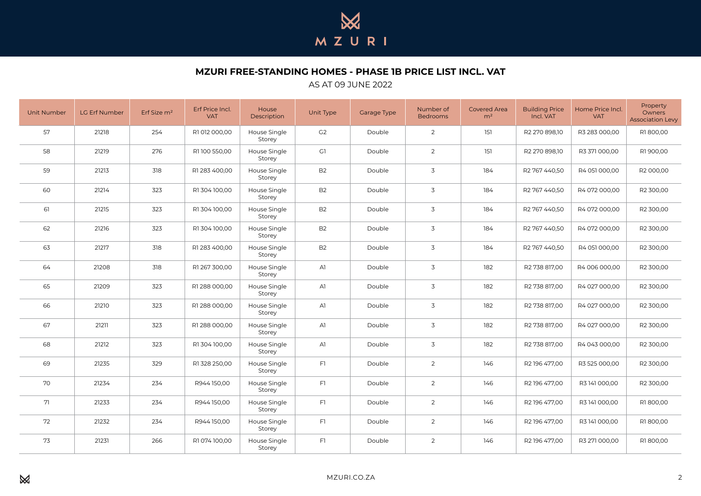

**MZURI FREE-STANDING HOMES - PHASE 1B PRICE LIST INCL. VAT**

## AS AT 09 JUNE 2022

| <b>Unit Number</b> | LG Erf Number | Erf Size m <sup>2</sup> | Erf Price Incl.<br><b>VAT</b> | House<br>Description   | Unit Type      | Garage Type | Number of<br><b>Bedrooms</b> | <b>Covered Area</b><br>m <sup>2</sup> | <b>Building Price</b><br>Incl. VAT | Home Price Incl.<br><b>VAT</b> | Property<br>Owners<br><b>Association Levy</b> |
|--------------------|---------------|-------------------------|-------------------------------|------------------------|----------------|-------------|------------------------------|---------------------------------------|------------------------------------|--------------------------------|-----------------------------------------------|
| 57                 | 21218         | 254                     | R1 012 000,00                 | House Single<br>Storey | G2             | Double      | $\overline{2}$               | 151                                   | R2 270 898,10                      | R3 283 000,00                  | R1800,00                                      |
| 58                 | 21219         | 276                     | R1100 550,00                  | House Single<br>Storey | G1             | Double      | $\overline{2}$               | 151                                   | R2 270 898,10                      | R3 371 000,00                  | R1900,00                                      |
| 59                 | 21213         | 318                     | R1 283 400,00                 | House Single<br>Storey | B <sub>2</sub> | Double      | 3                            | 184                                   | R2 767 440,50                      | R4 051 000,00                  | R2 000,00                                     |
| 60                 | 21214         | 323                     | R1 304 100,00                 | House Single<br>Storey | B <sub>2</sub> | Double      | 3                            | 184                                   | R2 767 440,50                      | R4 072 000,00                  | R2 300,00                                     |
| 61                 | 21215         | 323                     | R1304100,00                   | House Single<br>Storey | B <sub>2</sub> | Double      | 3                            | 184                                   | R2 767 440,50                      | R4 072 000,00                  | R2 300,00                                     |
| 62                 | 21216         | 323                     | R1304100,00                   | House Single<br>Storey | <b>B2</b>      | Double      | 3                            | 184                                   | R2 767 440,50                      | R4 072 000,00                  | R2 300,00                                     |
| 63                 | 21217         | 318                     | R1 283 400,00                 | House Single<br>Storey | B <sub>2</sub> | Double      | 3                            | 184                                   | R2 767 440,50                      | R4 051 000,00                  | R2 300,00                                     |
| 64                 | 21208         | 318                     | R1 267 300,00                 | House Single<br>Storey | AI             | Double      | 3                            | 182                                   | R2 738 817,00                      | R4 006 000,00                  | R2 300,00                                     |
| 65                 | 21209         | 323                     | R1 288 000,00                 | House Single<br>Storey | AI             | Double      | 3                            | 182                                   | R2 738 817,00                      | R4 027 000,00                  | R2 300,00                                     |
| 66                 | 21210         | 323                     | R1 288 000,00                 | House Single<br>Storey | AI             | Double      | 3                            | 182                                   | R2 738 817,00                      | R4 027 000,00                  | R2 300,00                                     |
| 67                 | 21211         | 323                     | R1 288 000,00                 | House Single<br>Storey | AI             | Double      | 3                            | 182                                   | R2 738 817,00                      | R4 027 000,00                  | R2 300,00                                     |
| 68                 | 21212         | 323                     | R1 304 100,00                 | House Single<br>Storey | AI             | Double      | 3                            | 182                                   | R2 738 817,00                      | R4 043 000.00                  | R2 300.00                                     |
| 69                 | 21235         | 329                     | R1 328 250,00                 | House Single<br>Storey | F1             | Double      | $\overline{2}$               | 146                                   | R2 196 477,00                      | R3 525 000,00                  | R2 300,00                                     |
| 70                 | 21234         | 234                     | R944 150,00                   | House Single<br>Storey | F1             | Double      | $\overline{2}$               | 146                                   | R2 196 477,00                      | R3 141 000,00                  | R2 300,00                                     |
| 71                 | 21233         | 234                     | R944150,00                    | House Single<br>Storey | F1             | Double      | $\overline{2}$               | 146                                   | R2 196 477,00                      | R3141000,00                    | R1800,00                                      |
| 72                 | 21232         | 234                     | R944150,00                    | House Single<br>Storey | F1             | Double      | $\overline{2}$               | 146                                   | R2 196 477,00                      | R3141000,00                    | R1800,00                                      |
| 73                 | 21231         | 266                     | R1 074 100,00                 | House Single<br>Storey | F1             | Double      | $\overline{2}$               | 146                                   | R2 196 477,00                      | R3 271 000,00                  | R1800,00                                      |